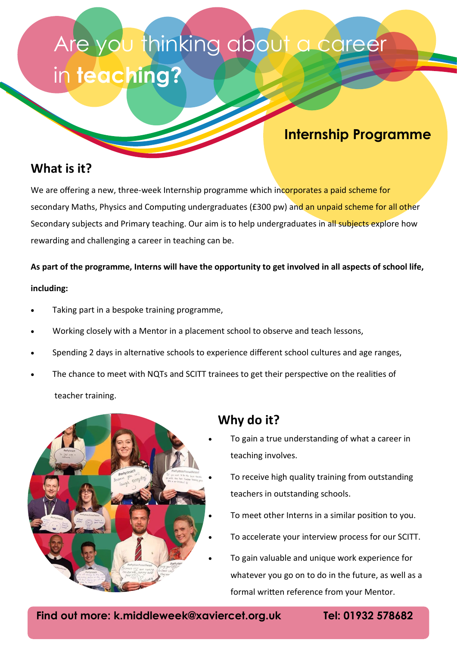## Are you thinking about a career in **teaching?**

### **Internship Programme**

### **What is it?**

We are offering a new, three-week Internship programme which incorporates a paid scheme for secondary Maths, Physics and Computing undergraduates (£300 pw) and an unpaid scheme for all other Secondary subjects and Primary teaching. Our aim is to help undergraduates in all subjects explore how rewarding and challenging a career in teaching can be.

**As part of the programme, Interns will have the opportunity to get involved in all aspects of school life, including:**

- Taking part in a bespoke training programme,
- Working closely with a Mentor in a placement school to observe and teach lessons,
- Spending 2 days in alternative schools to experience different school cultures and age ranges,
- The chance to meet with NQTs and SCITT trainees to get their perspective on the realities of teacher training.



### **Why do it?**

- To gain a true understanding of what a career in teaching involves.
- To receive high quality training from outstanding teachers in outstanding schools.
- To meet other Interns in a similar position to you.
- To accelerate your interview process for our SCITT.
- To gain valuable and unique work experience for whatever you go on to do in the future, as well as a formal written reference from your Mentor.

**Find out more: k.middleweek@xaviercet.org.uk Tel: 01932 578682**